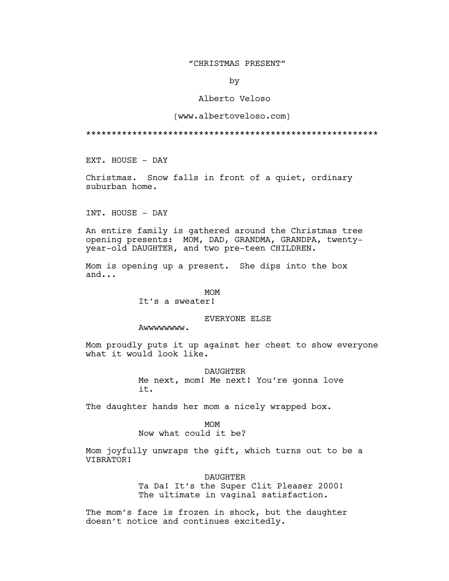## "CHRISTMAS PRESENT"

by

## Alberto Veloso

## (www.albertoveloso.com)

\*\*\*\*\*\*\*\*\*\*\*\*\*\*\*\*\*\*\*\*\*\*\*\*\*\*\*\*\*\*\*\*\*\*\*\*\*\*\*\*\*\*\*\*\*\*\*\*\*\*\*\*\*\*\*\*\*

EXT. HOUSE - DAY

Christmas. Snow falls in front of a quiet, ordinary suburban home.

INT. HOUSE - DAY

An entire family is gathered around the Christmas tree opening presents: MOM, DAD, GRANDMA, GRANDPA, twentyyear-old DAUGHTER, and two pre-teen CHILDREN.

Mom is opening up a present. She dips into the box and...

## MOM

It's a sweater!

# EVERYONE ELSE

Awwwwwwww.

Mom proudly puts it up against her chest to show everyone what it would look like.

> DAUGHTER Me next, mom! Me next! You're gonna love it.

The daughter hands her mom a nicely wrapped box.

MOM Now what could it be?

Mom joyfully unwraps the gift, which turns out to be a VIBRATOR!

DAUGHTER

Ta Da! It's the Super Clit Pleaser 2000! The ultimate in vaginal satisfaction.

The mom's face is frozen in shock, but the daughter doesn't notice and continues excitedly.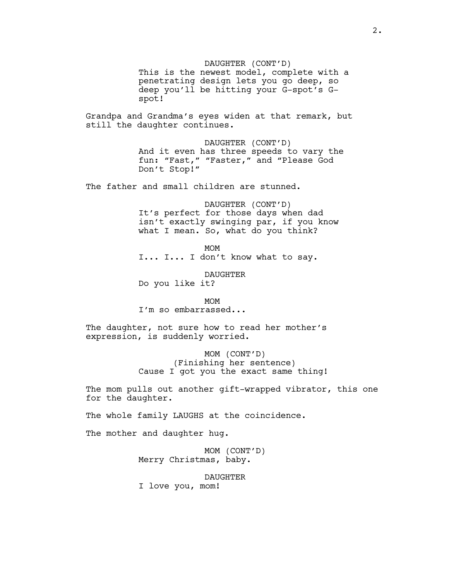DAUGHTER (CONT'D) This is the newest model, complete with a penetrating design lets you go deep, so deep you'll be hitting your G-spot's Gspot! Grandpa and Grandma's eyes widen at that remark, but still the daughter continues. DAUGHTER (CONT'D) And it even has three speeds to vary the fun: "Fast," "Faster," and "Please God Don't Stop!" The father and small children are stunned. DAUGHTER (CONT'D) It's perfect for those days when dad isn't exactly swinging par, if you know what I mean. So, what do you think? MOM I... I... I don't know what to say. DAUGHTER Do you like it? MOM I'm so embarrassed... The daughter, not sure how to read her mother's expression, is suddenly worried. MOM (CONT'D) (Finishing her sentence) Cause I got you the exact same thing! The mom pulls out another gift-wrapped vibrator, this one for the daughter. The whole family LAUGHS at the coincidence. The mother and daughter hug. MOM (CONT'D)

Merry Christmas, baby.

DAUGHTER

I love you, mom!